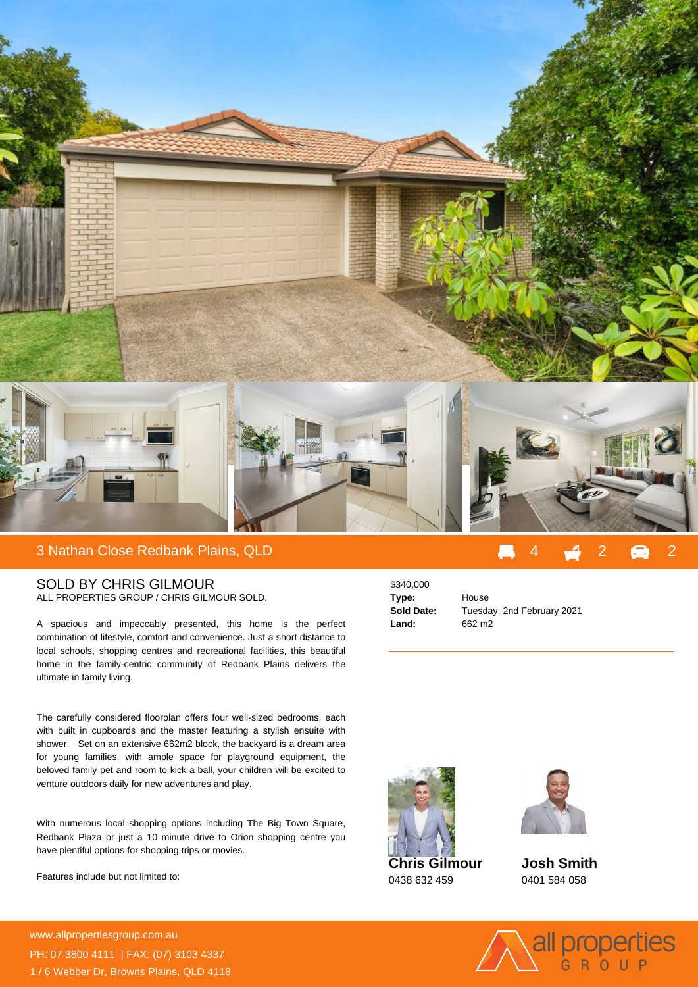

## SOLD BY CHRIS GILMOUR ALL PROPERTIES GROUP / CHRIS GILMOUR SOLD.

A spacious and impeccably presented, this home is the perfect combination of lifestyle, comfort and convenience. Just a short distance to local schools, shopping centres and recreational facilities, this beautiful home in the family-centric community of Redbank Plains delivers the ultimate in family living.

The carefully considered floorplan offers four well-sized bedrooms, each with built in cupboards and the master featuring a stylish ensuite with shower. Set on an extensive 662m2 block, the backyard is a dream area for young families, with ample space for playground equipment, the beloved family pet and room to kick a ball, your children will be excited to venture outdoors daily for new adventures and play.

With numerous local shopping options including The Big Town Square, Redbank Plaza or just a 10 minute drive to Orion shopping centre you have plentiful options for shopping trips or movies.

Features include but not limited to:

**For more details please visit** www.allpropertiesgroup.com.au/<br>State of the state of the state of the state of the state of the state of the state of the state of the state o PH: 07 3800 4111 | FAX: (07) 3103 4337 1 / 6 Webber Dr, Browns Plains, QLD 4118

\$340,000 **Type:** House **Land:** 662 m2

**Sold Date:** Tuesday, 2nd February 2021



**Chris Gilmour** 0438 632 459



**Josh Smith** 0401 584 058